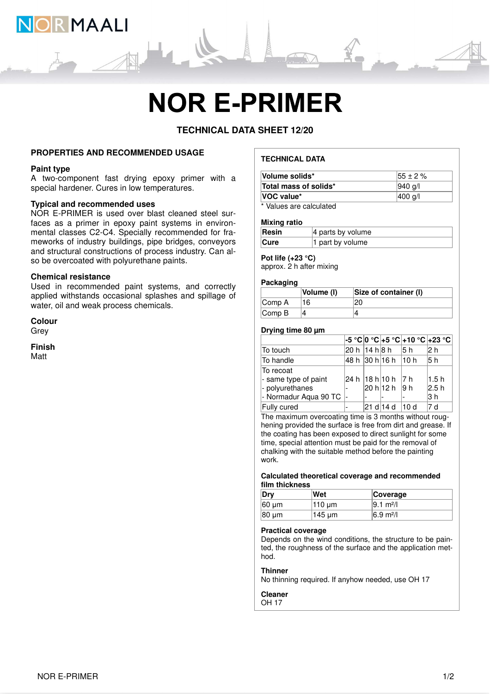

# **NOR E-PRIMER**

**TECHNICAL DATA SHEET 12/20**

# **PROPERTIES AND RECOMMENDED USAGE**

# **Paint type**

A two-component fast drying epoxy primer with a special hardener. Cures in low temperatures.

# **Typical and recommended uses**

NOR E-PRIMER is used over blast cleaned steel surfaces as a primer in epoxy paint systems in environmental classes C2-C4. Specially recommended for frameworks of industry buildings, pipe bridges, conveyors and structural constructions of process industry. Can also be overcoated with polyurethane paints.

# **Chemical resistance**

Used in recommended paint systems, and correctly applied withstands occasional splashes and spillage of water, oil and weak process chemicals.

**Colour** Grey

**Finish** Matt

# **TECHNICAL DATA**

| Volume solids*                | $155 \pm 2 \%$ |
|-------------------------------|----------------|
| Total mass of solids*         | 940 a/l        |
| VOC value*                    | 400 g/l        |
| * Malera a and a alardiate di |                |

Values are calculated

#### **Mixing ratio**

| Resin       | $ 4$ parts by volume |
|-------------|----------------------|
| <b>Cure</b> | 1 part by volume     |

# **Pot life (+23 °C)**

approx. 2 h after mixing

# **Packaging**

|                             | Volume (I) | Size of container (I) |
|-----------------------------|------------|-----------------------|
| Comp A                      | 16.        |                       |
| $\mathsf{Comp}\,\mathsf{B}$ |            |                       |

# **Drying time 80 µm**

|                       |                 |                       |      | -5 °C 0 °C +5 °C +10 °C +23 °C |
|-----------------------|-----------------|-----------------------|------|--------------------------------|
| To touch              | 20 h  14 h 8 h  |                       | 15 h | 12 h                           |
| To handle             |                 | 48 h  30 h 16 h  10 h |      | l5 h                           |
| To recoat             |                 |                       |      |                                |
| - same type of paint  | 24 h  18 h 10 h |                       | 7 h  | 1.5h                           |
| - polyurethanes       |                 | 20 h 12 h 9 h         |      | 2.5 h                          |
| - Normadur Aqua 90 TC |                 |                       |      | 3 h                            |
| Fully cured           |                 | 21 d 14 d             | 10d  | 7 d                            |

The maximum overcoating time is 3 months without roughening provided the surface is free from dirt and grease. If the coating has been exposed to direct sunlight for some time, special attention must be paid for the removal of chalking with the suitable method before the painting work.

### **Calculated theoretical coverage and recommended film thickness**

| Drv   | Wet    | <b>Coverage</b>     |
|-------|--------|---------------------|
| 60 um | 110 µm | $ 9.1 \text{ m}^2 $ |
| 80 µm | 145 µm | $6.9 \text{ m}^2$ / |

#### **Practical coverage**

Depends on the wind conditions, the structure to be painted, the roughness of the surface and the application method.

### **Thinner**

No thinning required. If anyhow needed, use OH 17

# **Cleaner**

OH 17